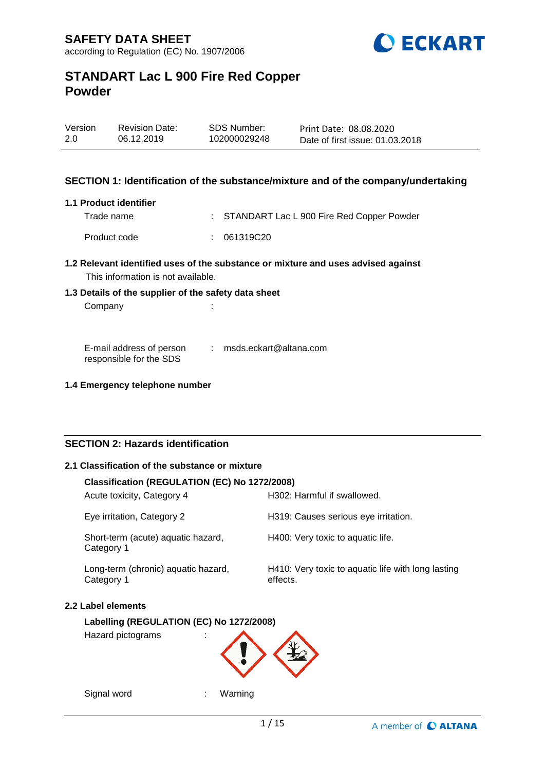

| Version | <b>Revision Date:</b> | SDS Number:  | Print Date: 08.08.2020          |
|---------|-----------------------|--------------|---------------------------------|
| 2.0     | 06.12.2019            | 102000029248 | Date of first issue: 01.03.2018 |

### **SECTION 1: Identification of the substance/mixture and of the company/undertaking**

#### **1.1 Product identifier**

| Trade name   | : STANDART Lac L 900 Fire Red Copper Powder |
|--------------|---------------------------------------------|
| Product code | : 061319C20                                 |

# **1.2 Relevant identified uses of the substance or mixture and uses advised against**

This information is not available.

# **1.3 Details of the supplier of the safety data sheet**

Company : the company of the company of the company of the company of the company of the company of the company of the company of the company of the company of the company of the company of the company of the company of th

E-mail address of person responsible for the SDS : msds.eckart@altana.com

### **1.4 Emergency telephone number**

## **SECTION 2: Hazards identification**

## **2.1 Classification of the substance or mixture**

### **Classification (REGULATION (EC) No 1272/2008)**

| H302: Harmful if swallowed.                                    |
|----------------------------------------------------------------|
| H319: Causes serious eye irritation.                           |
| H400: Very toxic to aquatic life.                              |
| H410: Very toxic to aquatic life with long lasting<br>effects. |
|                                                                |

## **2.2 Label elements**

## **Labelling (REGULATION (EC) No 1272/2008)**

Hazard pictograms :



Signal word : Warning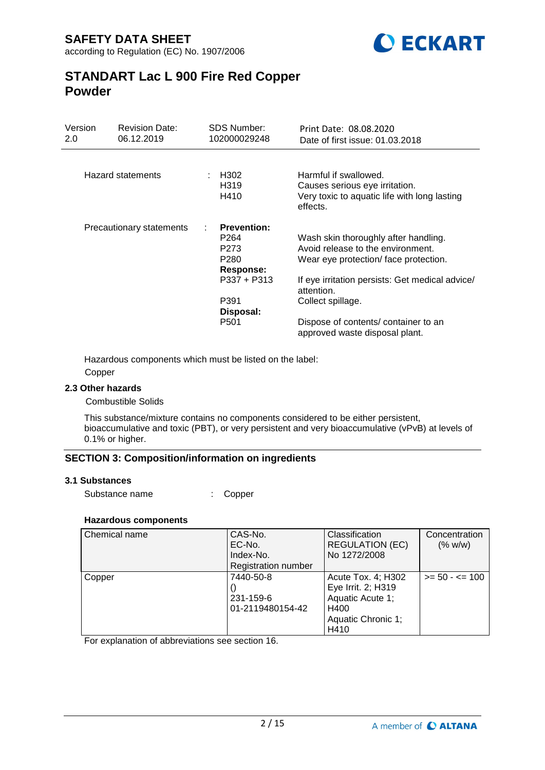

| Version<br>2.0 | <b>Revision Date:</b><br>06.12.2019 | <b>SDS Number:</b><br>102000029248 | Print Date: 08.08.2020<br>Date of first issue: 01.03.2018                                                           |
|----------------|-------------------------------------|------------------------------------|---------------------------------------------------------------------------------------------------------------------|
|                |                                     |                                    |                                                                                                                     |
|                | Hazard statements                   | H302<br>H319<br>H410               | Harmful if swallowed.<br>Causes serious eye irritation.<br>Very toxic to aquatic life with long lasting<br>effects. |
|                | Precautionary statements            | <b>Prevention:</b>                 |                                                                                                                     |
|                |                                     | P <sub>264</sub>                   | Wash skin thoroughly after handling.                                                                                |
|                |                                     | P273                               | Avoid release to the environment.                                                                                   |
|                |                                     | P <sub>280</sub>                   | Wear eye protection/face protection.                                                                                |
|                |                                     | Response:                          |                                                                                                                     |
|                |                                     | P337 + P313                        | If eye irritation persists: Get medical advice/<br>attention.                                                       |
|                |                                     | P391                               | Collect spillage.                                                                                                   |
|                |                                     | Disposal:                          |                                                                                                                     |
|                |                                     | P <sub>501</sub>                   | Dispose of contents/container to an<br>approved waste disposal plant.                                               |

Hazardous components which must be listed on the label: Copper

### **2.3 Other hazards**

Combustible Solids

This substance/mixture contains no components considered to be either persistent, bioaccumulative and toxic (PBT), or very persistent and very bioaccumulative (vPvB) at levels of 0.1% or higher.

### **SECTION 3: Composition/information on ingredients**

#### **3.1 Substances**

Substance name : Copper

### **Hazardous components**

| Chemical name | CAS-No.                    | Classification         | Concentration     |
|---------------|----------------------------|------------------------|-------------------|
|               | EC-No.                     | <b>REGULATION (EC)</b> | (% w/w)           |
|               | Index-No.                  | No 1272/2008           |                   |
|               | <b>Registration number</b> |                        |                   |
| Copper        | 7440-50-8                  | Acute Tox. 4; H302     | $>= 50 - 5 = 100$ |
|               |                            | Eye Irrit. 2; H319     |                   |
|               | 231-159-6                  | Aquatic Acute 1;       |                   |
|               | 01-2119480154-42           | H400                   |                   |
|               |                            | Aquatic Chronic 1;     |                   |
|               |                            | H410                   |                   |

For explanation of abbreviations see section 16.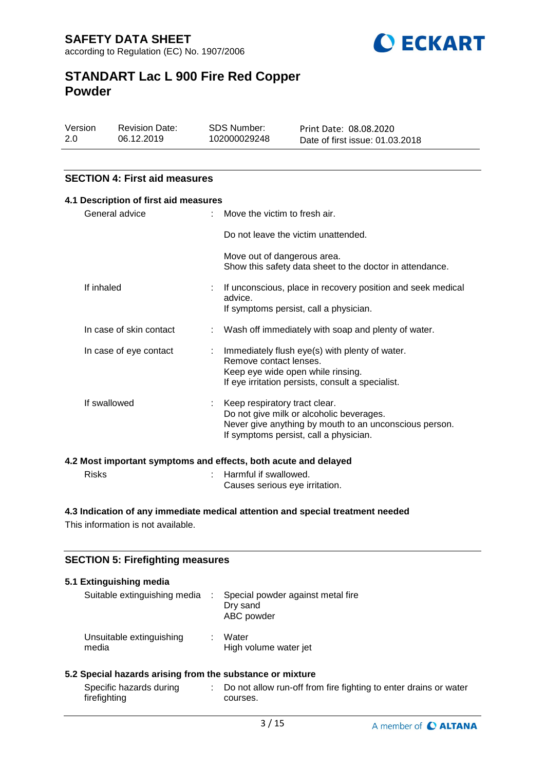

| Version | <b>Revision Date:</b> | SDS Number:  | Print Date: 08.08.2020          |
|---------|-----------------------|--------------|---------------------------------|
| 2.0     | 06.12.2019            | 102000029248 | Date of first issue: 01.03.2018 |

## **SECTION 4: First aid measures**

| 4.1 Description of first aid measures |                                                                                                   |                                                                                                                                                                                 |
|---------------------------------------|---------------------------------------------------------------------------------------------------|---------------------------------------------------------------------------------------------------------------------------------------------------------------------------------|
|                                       |                                                                                                   | $\therefore$ Move the victim to fresh air.                                                                                                                                      |
|                                       |                                                                                                   | Do not leave the victim unattended.                                                                                                                                             |
|                                       |                                                                                                   | Move out of dangerous area.<br>Show this safety data sheet to the doctor in attendance.                                                                                         |
|                                       |                                                                                                   | If unconscious, place in recovery position and seek medical<br>advice.<br>If symptoms persist, call a physician.                                                                |
|                                       |                                                                                                   | : Wash off immediately with soap and plenty of water.                                                                                                                           |
|                                       |                                                                                                   | Immediately flush eye(s) with plenty of water.<br>Remove contact lenses.<br>Keep eye wide open while rinsing.<br>If eye irritation persists, consult a specialist.              |
|                                       |                                                                                                   | : Keep respiratory tract clear.<br>Do not give milk or alcoholic beverages.<br>Never give anything by mouth to an unconscious person.<br>If symptoms persist, call a physician. |
|                                       | General advice<br>If inhaled<br>In case of skin contact<br>In case of eye contact<br>If swallowed |                                                                                                                                                                                 |

| Risks | : Harmful if swallowed.        |
|-------|--------------------------------|
|       | Causes serious eye irritation. |

## **4.3 Indication of any immediate medical attention and special treatment needed**

This information is not available.

## **SECTION 5: Firefighting measures**

| Suitable extinguishing media                              | ÷ | Special powder against metal fire<br>Dry sand<br>ABC powder |  |
|-----------------------------------------------------------|---|-------------------------------------------------------------|--|
| Unsuitable extinguishing<br>media                         |   | Water<br>High volume water jet                              |  |
| 5.2 Special hazards arising from the substance or mixture |   |                                                             |  |

| Specific hazards during | Do not allow run-off from fire fighting to enter drains or water |
|-------------------------|------------------------------------------------------------------|
| firefighting            | courses.                                                         |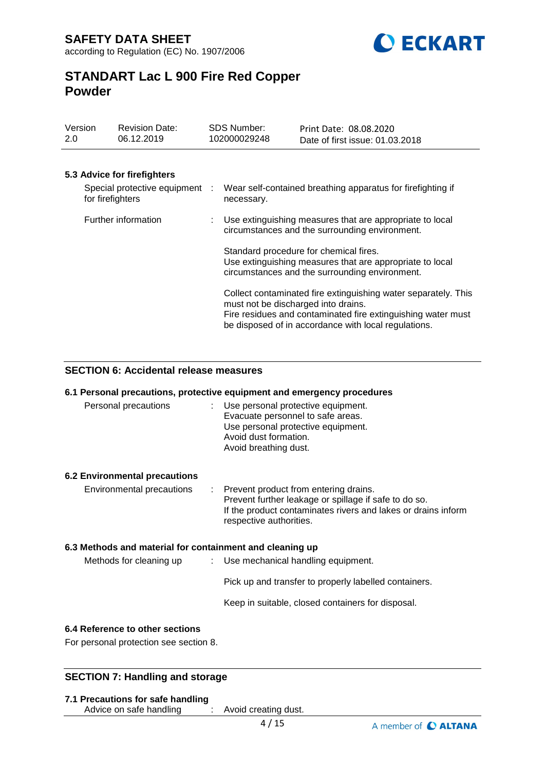

| Version<br>2.0                                     | <b>Revision Date:</b><br>06.12.2019 | <b>SDS Number:</b><br>102000029248                                        | Print Date: 08.08.2020<br>Date of first issue: 01.03.2018                                                                                                                              |
|----------------------------------------------------|-------------------------------------|---------------------------------------------------------------------------|----------------------------------------------------------------------------------------------------------------------------------------------------------------------------------------|
|                                                    |                                     |                                                                           |                                                                                                                                                                                        |
|                                                    | 5.3 Advice for firefighters         |                                                                           |                                                                                                                                                                                        |
| Special protective equipment :<br>for firefighters |                                     | Wear self-contained breathing apparatus for firefighting if<br>necessary. |                                                                                                                                                                                        |
|                                                    | Further information                 |                                                                           | Use extinguishing measures that are appropriate to local<br>circumstances and the surrounding environment.                                                                             |
|                                                    |                                     |                                                                           | Standard procedure for chemical fires.<br>Use extinguishing measures that are appropriate to local<br>circumstances and the surrounding environment.                                   |
|                                                    |                                     | must not be discharged into drains.                                       | Collect contaminated fire extinguishing water separately. This<br>Fire residues and contaminated fire extinguishing water must<br>be disposed of in accordance with local regulations. |

### **SECTION 6: Accidental release measures**

|                                                          | 6.1 Personal precautions, protective equipment and emergency procedures                                                                                                                      |
|----------------------------------------------------------|----------------------------------------------------------------------------------------------------------------------------------------------------------------------------------------------|
| Personal precautions                                     | : Use personal protective equipment.<br>Evacuate personnel to safe areas.<br>Use personal protective equipment.<br>Avoid dust formation.<br>Avoid breathing dust.                            |
| <b>6.2 Environmental precautions</b>                     |                                                                                                                                                                                              |
| Environmental precautions                                | : Prevent product from entering drains.<br>Prevent further leakage or spillage if safe to do so.<br>If the product contaminates rivers and lakes or drains inform<br>respective authorities. |
| 6.3 Methods and material for containment and cleaning up |                                                                                                                                                                                              |
| Methods for cleaning up                                  | $\therefore$ Use mechanical handling equipment.                                                                                                                                              |
|                                                          | Pick up and transfer to properly labelled containers.                                                                                                                                        |
|                                                          | Keep in suitable, closed containers for disposal.                                                                                                                                            |
| 6.4 Reference to other sections                          |                                                                                                                                                                                              |
| For personal protection see section 8.                   |                                                                                                                                                                                              |

## **SECTION 7: Handling and storage**

#### **7.1 Precautions for safe handling**

Advice on safe handling : Avoid creating dust.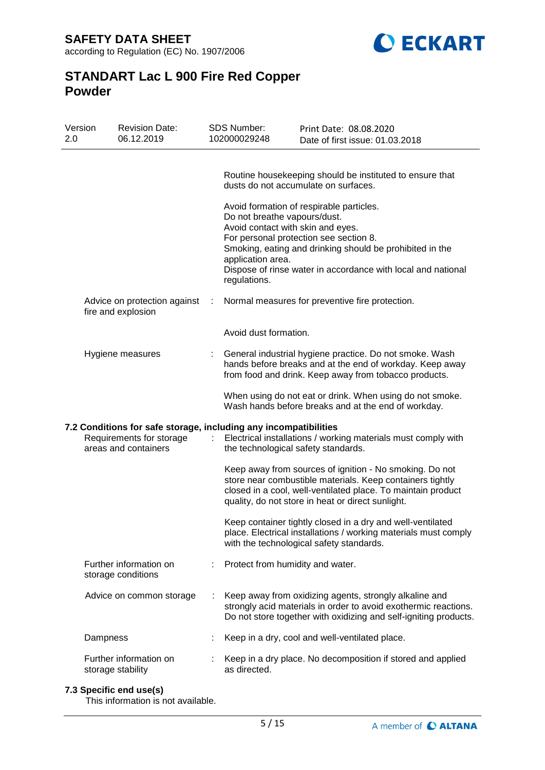**SAFETY DATA SHEET** according to Regulation (EC) No. 1907/2006



# **STANDART Lac L 900 Fire Red Copper Powder**

| Version<br>2.0 | <b>Revision Date:</b><br>06.12.2019                                                                                  |   | <b>SDS Number:</b><br>102000029248                                                                     | Print Date: 08.08.2020<br>Date of first issue: 01.03.2018                                                                                                                                                                                                                                                          |
|----------------|----------------------------------------------------------------------------------------------------------------------|---|--------------------------------------------------------------------------------------------------------|--------------------------------------------------------------------------------------------------------------------------------------------------------------------------------------------------------------------------------------------------------------------------------------------------------------------|
|                |                                                                                                                      |   | Do not breathe vapours/dust.<br>Avoid contact with skin and eyes.<br>application area.<br>regulations. | Routine housekeeping should be instituted to ensure that<br>dusts do not accumulate on surfaces.<br>Avoid formation of respirable particles.<br>For personal protection see section 8.<br>Smoking, eating and drinking should be prohibited in the<br>Dispose of rinse water in accordance with local and national |
|                | Advice on protection against<br>fire and explosion                                                                   | ÷ |                                                                                                        | Normal measures for preventive fire protection.                                                                                                                                                                                                                                                                    |
|                |                                                                                                                      |   | Avoid dust formation.                                                                                  |                                                                                                                                                                                                                                                                                                                    |
|                | Hygiene measures                                                                                                     |   |                                                                                                        | General industrial hygiene practice. Do not smoke. Wash<br>hands before breaks and at the end of workday. Keep away<br>from food and drink. Keep away from tobacco products.                                                                                                                                       |
|                |                                                                                                                      |   |                                                                                                        | When using do not eat or drink. When using do not smoke.<br>Wash hands before breaks and at the end of workday.                                                                                                                                                                                                    |
|                | 7.2 Conditions for safe storage, including any incompatibilities<br>Requirements for storage<br>areas and containers |   | the technological safety standards.                                                                    | Electrical installations / working materials must comply with                                                                                                                                                                                                                                                      |
|                |                                                                                                                      |   |                                                                                                        | Keep away from sources of ignition - No smoking. Do not<br>store near combustible materials. Keep containers tightly<br>closed in a cool, well-ventilated place. To maintain product<br>quality, do not store in heat or direct sunlight.                                                                          |
|                |                                                                                                                      |   |                                                                                                        | Keep container tightly closed in a dry and well-ventilated<br>place. Electrical installations / working materials must comply<br>with the technological safety standards.                                                                                                                                          |
|                | Further information on<br>storage conditions                                                                         |   | Protect from humidity and water.                                                                       |                                                                                                                                                                                                                                                                                                                    |
|                | Advice on common storage                                                                                             |   |                                                                                                        | Keep away from oxidizing agents, strongly alkaline and<br>strongly acid materials in order to avoid exothermic reactions.<br>Do not store together with oxidizing and self-igniting products.                                                                                                                      |
|                | Dampness                                                                                                             |   |                                                                                                        | Keep in a dry, cool and well-ventilated place.                                                                                                                                                                                                                                                                     |
|                | Further information on<br>storage stability                                                                          |   | as directed.                                                                                           | Keep in a dry place. No decomposition if stored and applied                                                                                                                                                                                                                                                        |

## **7.3 Specific end use(s)**

This information is not available.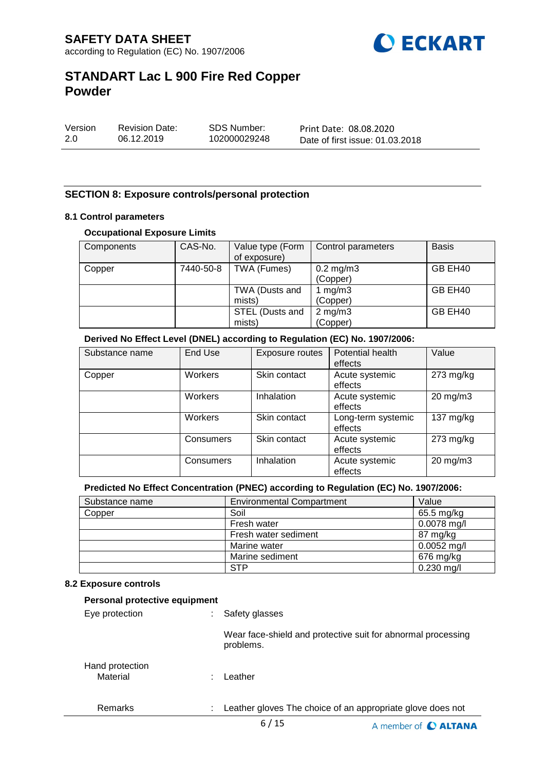

| Version | <b>Revision Date:</b> | SDS Number:  | Print Date: 08.08.2020          |
|---------|-----------------------|--------------|---------------------------------|
| 2.0     | 06.12.2019            | 102000029248 | Date of first issue: 01.03.2018 |

### **SECTION 8: Exposure controls/personal protection**

### **8.1 Control parameters**

#### **Occupational Exposure Limits**

| Components | CAS-No.   | Value type (Form<br>of exposure) | Control parameters         | <b>Basis</b> |
|------------|-----------|----------------------------------|----------------------------|--------------|
| Copper     | 7440-50-8 | TWA (Fumes)                      | $0.2$ mg/m $3$<br>(Copper) | GB EH40      |
|            |           | TWA (Dusts and<br>mists)         | 1 $mg/m3$<br>(Copper)      | GB EH40      |
|            |           | STEL (Dusts and<br>mists)        | $2$ mg/m $3$<br>(Copper)   | GB EH40      |

### **Derived No Effect Level (DNEL) according to Regulation (EC) No. 1907/2006:**

| Substance name | End Use   | Exposure routes | Potential health<br>effects   | Value               |
|----------------|-----------|-----------------|-------------------------------|---------------------|
| Copper         | Workers   | Skin contact    | Acute systemic<br>effects     | $273$ mg/kg         |
|                | Workers   | Inhalation      | Acute systemic<br>effects     | $20 \text{ mg/m}$ 3 |
|                | Workers   | Skin contact    | Long-term systemic<br>effects | 137 $mg/kg$         |
|                | Consumers | Skin contact    | Acute systemic<br>effects     | $273$ mg/kg         |
|                | Consumers | Inhalation      | Acute systemic<br>effects     | 20 mg/m3            |

### **Predicted No Effect Concentration (PNEC) according to Regulation (EC) No. 1907/2006:**

| Substance name | <b>Environmental Compartment</b> | Value         |
|----------------|----------------------------------|---------------|
| Copper         | Soil                             | 65.5 mg/kg    |
|                | Fresh water                      | $0.0078$ mg/l |
|                | Fresh water sediment             | 87 mg/kg      |
|                | Marine water                     | $0.0052$ mg/l |
|                | Marine sediment                  | 676 mg/kg     |
|                | <b>STP</b>                       | $0.230$ mg/l  |

#### **8.2 Exposure controls**

| Personal protective equipment |                                                                           |
|-------------------------------|---------------------------------------------------------------------------|
| Eye protection                | Safety glasses                                                            |
|                               | Wear face-shield and protective suit for abnormal processing<br>problems. |
| Hand protection<br>Material   | Leather                                                                   |
| Remarks                       | Leather gloves The choice of an appropriate glove does not                |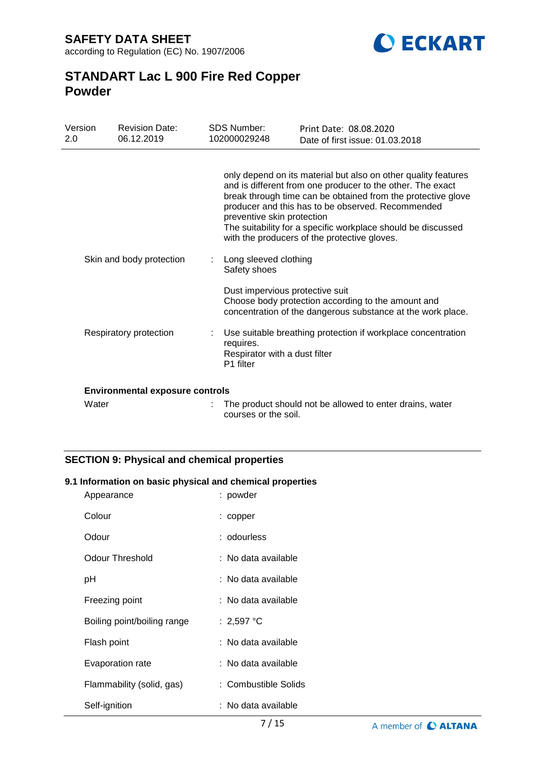**SAFETY DATA SHEET** according to Regulation (EC) No. 1907/2006



## **STANDART Lac L 900 Fire Red Copper Powder**

| Version<br>2.0 | <b>Revision Date:</b><br>06.12.2019    | <b>SDS Number:</b><br>102000029248                      | Print Date: 08.08.2020<br>Date of first issue: 01.03.2018                                                                                                                                                                                                                                                                                                         |
|----------------|----------------------------------------|---------------------------------------------------------|-------------------------------------------------------------------------------------------------------------------------------------------------------------------------------------------------------------------------------------------------------------------------------------------------------------------------------------------------------------------|
|                |                                        | preventive skin protection                              | only depend on its material but also on other quality features<br>and is different from one producer to the other. The exact<br>break through time can be obtained from the protective glove<br>producer and this has to be observed. Recommended<br>The suitability for a specific workplace should be discussed<br>with the producers of the protective gloves. |
|                | Skin and body protection               | Long sleeved clothing<br>Safety shoes                   |                                                                                                                                                                                                                                                                                                                                                                   |
|                |                                        | Dust impervious protective suit                         | Choose body protection according to the amount and<br>concentration of the dangerous substance at the work place.                                                                                                                                                                                                                                                 |
|                | Respiratory protection                 | requires.<br>Respirator with a dust filter<br>P1 filter | Use suitable breathing protection if workplace concentration                                                                                                                                                                                                                                                                                                      |
|                | <b>Environmental exposure controls</b> |                                                         |                                                                                                                                                                                                                                                                                                                                                                   |
| Water          |                                        |                                                         | The product should not be allowed to enter drains, water                                                                                                                                                                                                                                                                                                          |

courses or the soil.

## **SECTION 9: Physical and chemical properties**

### **9.1 Information on basic physical and chemical properties**

| Appearance                  | : powder             |
|-----------------------------|----------------------|
| Colour                      | : copper             |
| Odour                       | : odourless          |
| <b>Odour Threshold</b>      | : No data available  |
| рH                          | : No data available  |
| Freezing point              | : No data available  |
| Boiling point/boiling range | : 2,597 °C           |
| Flash point                 | : No data available  |
| Evaporation rate            | : No data available  |
| Flammability (solid, gas)   | : Combustible Solids |
| Self-ignition               | : No data available  |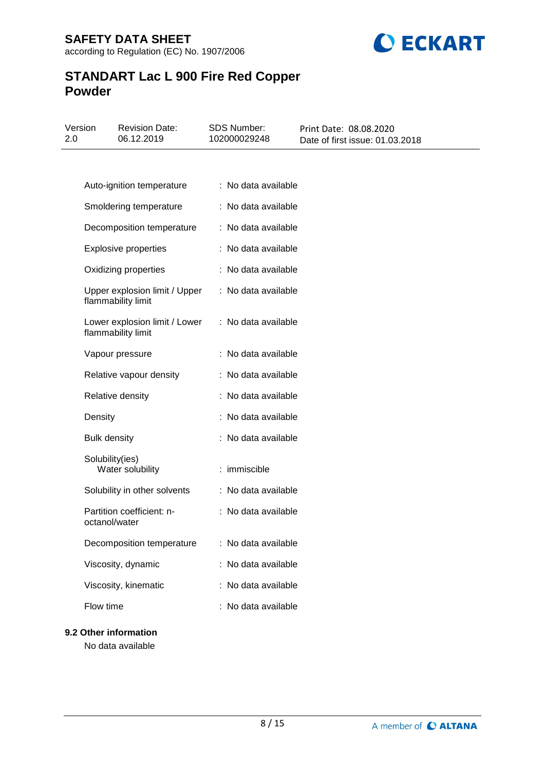

| 2.0 | Version             | <b>Revision Date:</b><br>06.12.2019                 | <b>SDS Number:</b><br>102000029248 | Print Date: 08.08.2020<br>Date of first issue: 01.03.2018 |
|-----|---------------------|-----------------------------------------------------|------------------------------------|-----------------------------------------------------------|
|     |                     |                                                     |                                    |                                                           |
|     |                     | Auto-ignition temperature                           | : No data available                |                                                           |
|     |                     | Smoldering temperature                              | : No data available                |                                                           |
|     |                     | Decomposition temperature                           | : No data available                |                                                           |
|     |                     | <b>Explosive properties</b>                         | : No data available                |                                                           |
|     |                     | Oxidizing properties                                | : No data available                |                                                           |
|     |                     | Upper explosion limit / Upper<br>flammability limit | : No data available                |                                                           |
|     |                     | Lower explosion limit / Lower<br>flammability limit | : No data available                |                                                           |
|     |                     | Vapour pressure                                     | : No data available                |                                                           |
|     |                     | Relative vapour density                             | : No data available                |                                                           |
|     |                     | Relative density                                    | : No data available                |                                                           |
|     | Density             |                                                     | : No data available                |                                                           |
|     | <b>Bulk density</b> |                                                     | : No data available                |                                                           |
|     | Solubility(ies)     | Water solubility                                    | : immiscible                       |                                                           |
|     |                     | Solubility in other solvents                        | : No data available                |                                                           |
|     | octanol/water       | Partition coefficient: n-                           | : No data available                |                                                           |
|     |                     | Decomposition temperature                           | : No data available                |                                                           |
|     |                     | Viscosity, dynamic                                  | : No data available                |                                                           |
|     |                     | Viscosity, kinematic                                | : No data available                |                                                           |
|     | Flow time           |                                                     | : No data available                |                                                           |

## **9.2 Other information**

No data available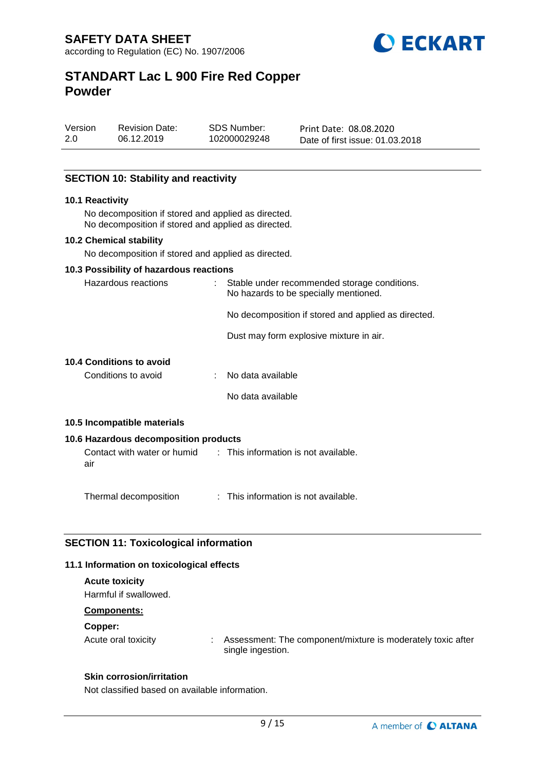

Version 2.0 Revision Date: 06.12.2019

SDS Number: 102000029248

Print Date: 08.08.2020 Date of first issue: 01.03.2018

## **SECTION 10: Stability and reactivity**

#### **10.1 Reactivity**

No decomposition if stored and applied as directed. No decomposition if stored and applied as directed.

### **10.2 Chemical stability**

No decomposition if stored and applied as directed.

#### **10.3 Possibility of hazardous reactions**

| Hazardous reactions                                                     | : Stable under recommended storage conditions.<br>No hazards to be specially mentioned. |  |
|-------------------------------------------------------------------------|-----------------------------------------------------------------------------------------|--|
|                                                                         | No decomposition if stored and applied as directed.                                     |  |
|                                                                         | Dust may form explosive mixture in air.                                                 |  |
| 10.4 Conditions to avoid                                                |                                                                                         |  |
| Conditions to avoid                                                     | : No data available                                                                     |  |
|                                                                         | No data available                                                                       |  |
| 10.5 Incompatible materials                                             |                                                                                         |  |
| 10.6 Hazardous decomposition products                                   |                                                                                         |  |
| Contact with water or humid : This information is not available.<br>air |                                                                                         |  |
| Thermal decomposition                                                   | : This information is not available.                                                    |  |

## **SECTION 11: Toxicological information**

### **11.1 Information on toxicological effects**

## **Acute toxicity**

Harmful if swallowed.

## **Components:**

### **Copper:**

Acute oral toxicity : Assessment: The component/mixture is moderately toxic after single ingestion.

### **Skin corrosion/irritation**

Not classified based on available information.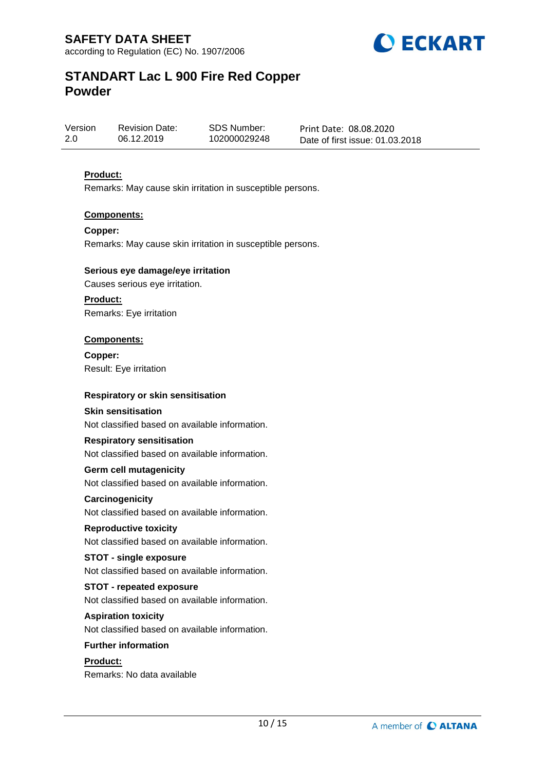

Version 2.0 Revision Date: 06.12.2019

SDS Number: 102000029248

Print Date: 08.08.2020 Date of first issue: 01.03.2018

## **Product:**

Remarks: May cause skin irritation in susceptible persons.

### **Components:**

**Copper:** Remarks: May cause skin irritation in susceptible persons.

### **Serious eye damage/eye irritation**

Causes serious eye irritation.

**Product:** Remarks: Eye irritation

### **Components:**

**Copper:** Result: Eye irritation

### **Respiratory or skin sensitisation**

### **Skin sensitisation**

Not classified based on available information.

### **Respiratory sensitisation**

Not classified based on available information.

### **Germ cell mutagenicity**

Not classified based on available information.

### **Carcinogenicity**

Not classified based on available information.

## **Reproductive toxicity**

Not classified based on available information.

### **STOT - single exposure**

Not classified based on available information.

### **STOT - repeated exposure**

Not classified based on available information.

### **Aspiration toxicity**

Not classified based on available information.

## **Further information**

## **Product:** Remarks: No data available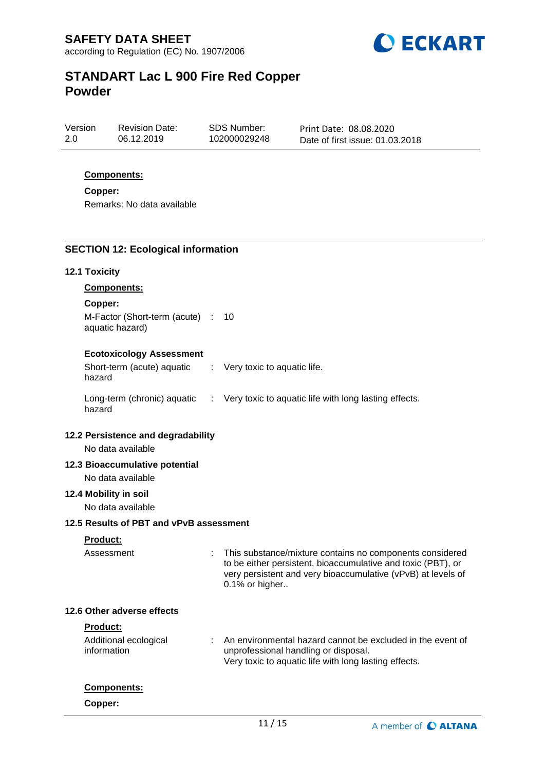

| Version | <b>Revision Date:</b> | SDS Number:  | Print Date: 08.08.2020          |
|---------|-----------------------|--------------|---------------------------------|
| 2.0     | 06.12.2019            | 102000029248 | Date of first issue: 01.03.2018 |

### **Components:**

**Copper:**

Remarks: No data available

#### **SECTION 12: Ecological information**

#### **12.1 Toxicity**

**Components:**

#### **Copper:**

M-Factor (Short-term (acute) : 10 aquatic hazard)

#### **Ecotoxicology Assessment**

Short-term (acute) aquatic hazard : Very toxic to aquatic life. Long-term (chronic) aquatic : Very toxic to aquatic life with long lasting effects. hazard

#### **12.2 Persistence and degradability**

No data available

### **12.3 Bioaccumulative potential**

No data available

### **12.4 Mobility in soil**

No data available

#### **12.5 Results of PBT and vPvB assessment**

#### **Product:**

Assessment : This substance/mixture contains no components considered to be either persistent, bioaccumulative and toxic (PBT), or very persistent and very bioaccumulative (vPvB) at levels of 0.1% or higher..

#### **12.6 Other adverse effects**

### **Product:**

| Additional ecological | : An environmental hazard cannot be excluded in the event of |
|-----------------------|--------------------------------------------------------------|
| information           | unprofessional handling or disposal.                         |
|                       | Very toxic to aquatic life with long lasting effects.        |

#### **Components:**

**Copper:**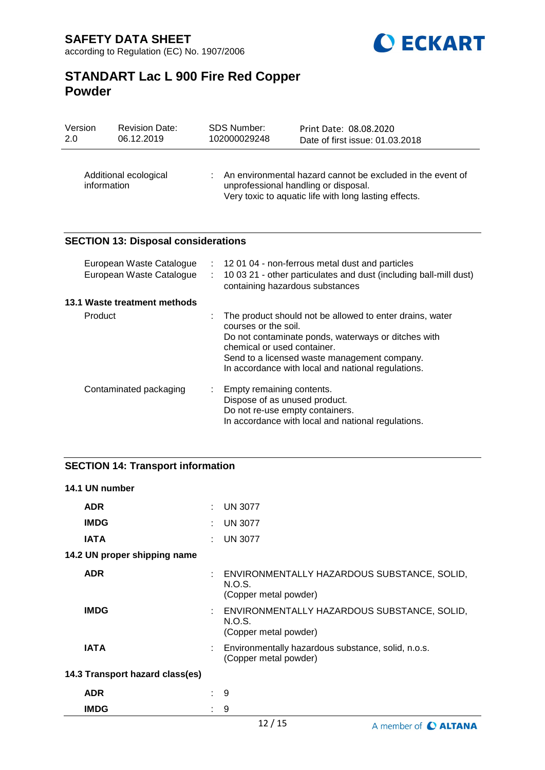

| Version<br>2.0                       | <b>Revision Date:</b><br>06.12.2019                  |   | <b>SDS Number:</b><br>102000029248                                                                                                                                     | Print Date: 08.08.2020<br>Date of first issue: 01.03.2018                                                                                                                                                             |  |
|--------------------------------------|------------------------------------------------------|---|------------------------------------------------------------------------------------------------------------------------------------------------------------------------|-----------------------------------------------------------------------------------------------------------------------------------------------------------------------------------------------------------------------|--|
| Additional ecological<br>information |                                                      |   | An environmental hazard cannot be excluded in the event of<br>unprofessional handling or disposal.<br>Very toxic to aquatic life with long lasting effects.            |                                                                                                                                                                                                                       |  |
|                                      | <b>SECTION 13: Disposal considerations</b>           |   |                                                                                                                                                                        |                                                                                                                                                                                                                       |  |
|                                      | European Waste Catalogue<br>European Waste Catalogue |   | 120104 - non-ferrous metal dust and particles<br>$\mathcal{L}$<br>10 03 21 - other particulates and dust (including ball-mill dust)<br>containing hazardous substances |                                                                                                                                                                                                                       |  |
| 13.1 Waste treatment methods         |                                                      |   |                                                                                                                                                                        |                                                                                                                                                                                                                       |  |
|                                      | Product                                              |   | courses or the soil.<br>chemical or used container.                                                                                                                    | The product should not be allowed to enter drains, water<br>Do not contaminate ponds, waterways or ditches with<br>Send to a licensed waste management company.<br>In accordance with local and national regulations. |  |
|                                      | Contaminated packaging                               | ÷ | Empty remaining contents.<br>Dispose of as unused product.<br>Do not re-use empty containers.                                                                          | In accordance with local and national regulations.                                                                                                                                                                    |  |

## **SECTION 14: Transport information**

| 14.1 UN number                  |                             |                                                                                  |
|---------------------------------|-----------------------------|----------------------------------------------------------------------------------|
| <b>ADR</b>                      | t.                          | <b>UN 3077</b>                                                                   |
| <b>IMDG</b>                     | ÷.                          | <b>UN 3077</b>                                                                   |
| <b>IATA</b>                     | t.                          | <b>UN 3077</b>                                                                   |
| 14.2 UN proper shipping name    |                             |                                                                                  |
| <b>ADR</b>                      |                             | : ENVIRONMENTALLY HAZARDOUS SUBSTANCE, SOLID,<br>N.O.S.<br>(Copper metal powder) |
| <b>IMDG</b>                     |                             | : ENVIRONMENTALLY HAZARDOUS SUBSTANCE, SOLID,<br>N.O.S.<br>(Copper metal powder) |
| <b>IATA</b>                     |                             | Environmentally hazardous substance, solid, n.o.s.<br>(Copper metal powder)      |
| 14.3 Transport hazard class(es) |                             |                                                                                  |
| <b>ADR</b>                      | $\mathbf{r}_{\mathrm{max}}$ | -9                                                                               |
| <b>IMDG</b>                     | ٠                           | 9                                                                                |
|                                 |                             | 4212                                                                             |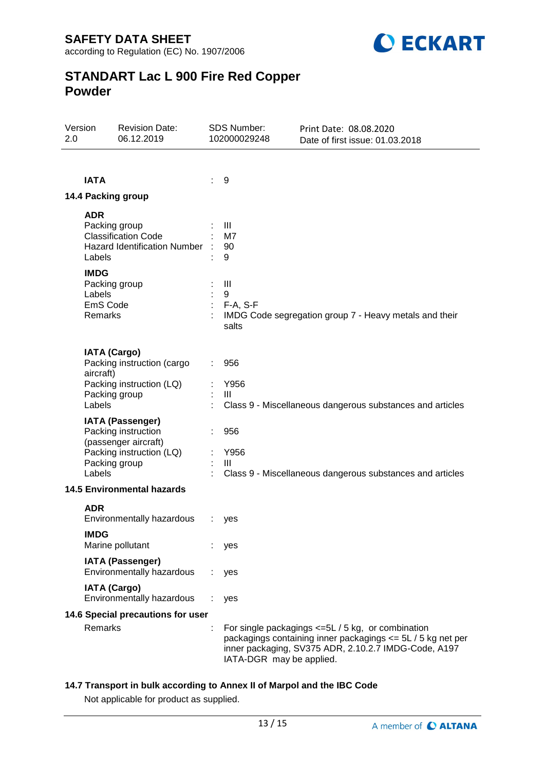according to Regulation (EC) No. 1907/2006



# **STANDART Lac L 900 Fire Red Copper Powder**

| Version<br>2.0                    |                                                                      | <b>Revision Date:</b><br>06.12.2019                                                                                 |   | <b>SDS Number:</b><br>102000029248       | Print Date: 08.08.2020<br>Date of first issue: 01.03.2018                                                                                                                     |
|-----------------------------------|----------------------------------------------------------------------|---------------------------------------------------------------------------------------------------------------------|---|------------------------------------------|-------------------------------------------------------------------------------------------------------------------------------------------------------------------------------|
|                                   |                                                                      |                                                                                                                     |   |                                          |                                                                                                                                                                               |
|                                   | <b>IATA</b>                                                          |                                                                                                                     | ÷ | 9                                        |                                                                                                                                                                               |
|                                   |                                                                      | 14.4 Packing group                                                                                                  |   |                                          |                                                                                                                                                                               |
|                                   | <b>ADR</b><br>Labels<br><b>IMDG</b><br>Labels<br>EmS Code<br>Remarks | Packing group<br><b>Classification Code</b><br><b>Hazard Identification Number</b><br>Packing group                 |   | Ш<br>M7<br>90<br>9<br>Ш<br>9<br>F-A, S-F | IMDG Code segregation group 7 - Heavy metals and their                                                                                                                        |
|                                   |                                                                      |                                                                                                                     |   | salts                                    |                                                                                                                                                                               |
|                                   | <b>IATA (Cargo)</b><br>aircraft)                                     | Packing instruction (cargo                                                                                          |   | 956                                      |                                                                                                                                                                               |
|                                   | Labels                                                               | Packing instruction (LQ)<br>Packing group                                                                           |   | Y956<br>$\mathbf{III}$                   | Class 9 - Miscellaneous dangerous substances and articles                                                                                                                     |
|                                   | Labels                                                               | <b>IATA (Passenger)</b><br>Packing instruction<br>(passenger aircraft)<br>Packing instruction (LQ)<br>Packing group |   | 956<br>Y956<br>$\mathbf{III}$            | Class 9 - Miscellaneous dangerous substances and articles                                                                                                                     |
|                                   |                                                                      | <b>14.5 Environmental hazards</b>                                                                                   |   |                                          |                                                                                                                                                                               |
|                                   | <b>ADR</b>                                                           | Environmentally hazardous                                                                                           |   | yes                                      |                                                                                                                                                                               |
|                                   | <b>IMDG</b>                                                          | Marine pollutant                                                                                                    |   | yes                                      |                                                                                                                                                                               |
|                                   |                                                                      | <b>IATA (Passenger)</b><br>Environmentally hazardous                                                                |   | yes                                      |                                                                                                                                                                               |
|                                   | <b>IATA (Cargo)</b>                                                  | Environmentally hazardous                                                                                           |   | yes                                      |                                                                                                                                                                               |
| 14.6 Special precautions for user |                                                                      |                                                                                                                     |   |                                          |                                                                                                                                                                               |
|                                   | Remarks                                                              |                                                                                                                     |   | IATA-DGR may be applied.                 | For single packagings $\leq 5L / 5$ kg, or combination<br>packagings containing inner packagings <= 5L / 5 kg net per<br>inner packaging, SV375 ADR, 2.10.2.7 IMDG-Code, A197 |

## **14.7 Transport in bulk according to Annex II of Marpol and the IBC Code**

Not applicable for product as supplied.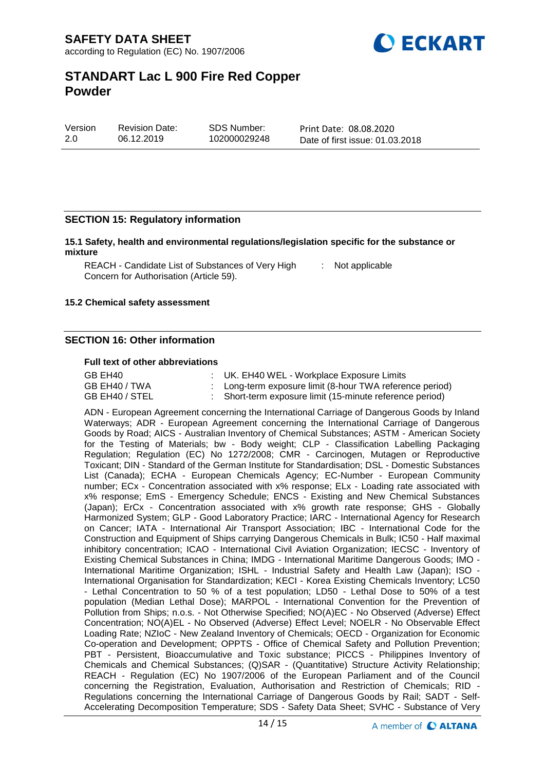

| Version | <b>Revision Date:</b> | SDS Number:  | Print Date: 08.08.2020          |
|---------|-----------------------|--------------|---------------------------------|
| 2.0     | 06.12.2019            | 102000029248 | Date of first issue: 01.03.2018 |

### **SECTION 15: Regulatory information**

**15.1 Safety, health and environmental regulations/legislation specific for the substance or mixture**

REACH - Candidate List of Substances of Very High [155] Not applicable Concern for Authorisation (Article 59).

#### **15.2 Chemical safety assessment**

### **SECTION 16: Other information**

#### **Full text of other abbreviations**

| GB EH40        | : UK. EH40 WEL - Workplace Exposure Limits               |
|----------------|----------------------------------------------------------|
| GB EH40 / TWA  | : Long-term exposure limit (8-hour TWA reference period) |
| GB EH40 / STEL | : Short-term exposure limit (15-minute reference period) |

ADN - European Agreement concerning the International Carriage of Dangerous Goods by Inland Waterways; ADR - European Agreement concerning the International Carriage of Dangerous Goods by Road; AICS - Australian Inventory of Chemical Substances; ASTM - American Society for the Testing of Materials; bw - Body weight; CLP - Classification Labelling Packaging Regulation; Regulation (EC) No 1272/2008; CMR - Carcinogen, Mutagen or Reproductive Toxicant; DIN - Standard of the German Institute for Standardisation; DSL - Domestic Substances List (Canada); ECHA - European Chemicals Agency; EC-Number - European Community number; ECx - Concentration associated with x% response; ELx - Loading rate associated with x% response; EmS - Emergency Schedule; ENCS - Existing and New Chemical Substances (Japan); ErCx - Concentration associated with x% growth rate response; GHS - Globally Harmonized System; GLP - Good Laboratory Practice; IARC - International Agency for Research on Cancer; IATA - International Air Transport Association; IBC - International Code for the Construction and Equipment of Ships carrying Dangerous Chemicals in Bulk; IC50 - Half maximal inhibitory concentration; ICAO - International Civil Aviation Organization; IECSC - Inventory of Existing Chemical Substances in China; IMDG - International Maritime Dangerous Goods; IMO - International Maritime Organization; ISHL - Industrial Safety and Health Law (Japan); ISO - International Organisation for Standardization; KECI - Korea Existing Chemicals Inventory; LC50 - Lethal Concentration to 50 % of a test population; LD50 - Lethal Dose to 50% of a test population (Median Lethal Dose); MARPOL - International Convention for the Prevention of Pollution from Ships; n.o.s. - Not Otherwise Specified; NO(A)EC - No Observed (Adverse) Effect Concentration; NO(A)EL - No Observed (Adverse) Effect Level; NOELR - No Observable Effect Loading Rate; NZIoC - New Zealand Inventory of Chemicals; OECD - Organization for Economic Co-operation and Development; OPPTS - Office of Chemical Safety and Pollution Prevention; PBT - Persistent, Bioaccumulative and Toxic substance; PICCS - Philippines Inventory of Chemicals and Chemical Substances; (Q)SAR - (Quantitative) Structure Activity Relationship; REACH - Regulation (EC) No 1907/2006 of the European Parliament and of the Council concerning the Registration, Evaluation, Authorisation and Restriction of Chemicals; RID - Regulations concerning the International Carriage of Dangerous Goods by Rail; SADT - Self-Accelerating Decomposition Temperature; SDS - Safety Data Sheet; SVHC - Substance of Very